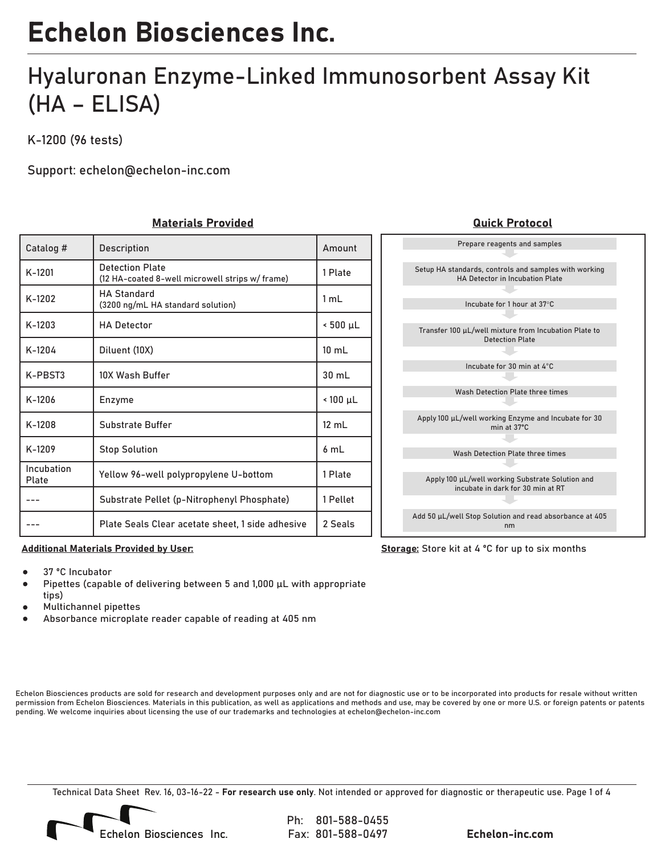### Hyaluronan Enzyme-Linked Immunosorbent Assay Kit (HA – ELISA)

K-1200 (96 tests)

Support: echelon@echelon-inc.com

### Materials Provided Quick Protocol

| Catalog #           | Description                                                              | Amount           |
|---------------------|--------------------------------------------------------------------------|------------------|
| $K-1201$            | <b>Detection Plate</b><br>(12 HA-coated 8-well microwell strips w/frame) | 1 Plate          |
| K-1202              | <b>HA Standard</b><br>(3200 ng/mL HA standard solution)                  | 1 mL             |
| $K-1203$            | <b>HA Detector</b>                                                       | $\leq 500$ µL    |
| $K-1204$            | Diluent (10X)                                                            | $10 \text{ mL}$  |
| K-PBST3             | 10X Wash Buffer                                                          | $30 \text{ mL}$  |
| $K-1206$            | Enzyme                                                                   | $\leq 100 \mu L$ |
| $K-1208$            | Substrate Buffer                                                         | 12 mL            |
| K-1209              | <b>Stop Solution</b>                                                     | 6 mL             |
| Incubation<br>Plate | Yellow 96-well polypropylene U-bottom                                    | 1 Plate          |
|                     | Substrate Pellet (p-Nitrophenyl Phosphate)                               | 1 Pellet         |
|                     | Plate Seals Clear acetate sheet, 1 side adhesive                         | 2 Seals          |



Storage: Store kit at 4 °C for up to six months

#### Additional Materials Provided by User:

- 37 ºC Incubator
- Pipettes (capable of delivering between 5 and 1,000 µL with appropriate tips)
- Multichannel pipettes
- Absorbance microplate reader capable of reading at 405 nm

Echelon Biosciences products are sold for research and development purposes only and are not for diagnostic use or to be incorporated into products for resale without written permission from Echelon Biosciences. Materials in this publication, as well as applications and methods and use, may be covered by one or more U.S. or foreign patents or patents pending. We welcome inquiries about licensing the use of our trademarks and technologies at echelon@echelon-inc.com

Technical Data Sheet Rev. 16, 03-16-22 - For research use only. Not intended or approved for diagnostic or therapeutic use. Page 1 of 4

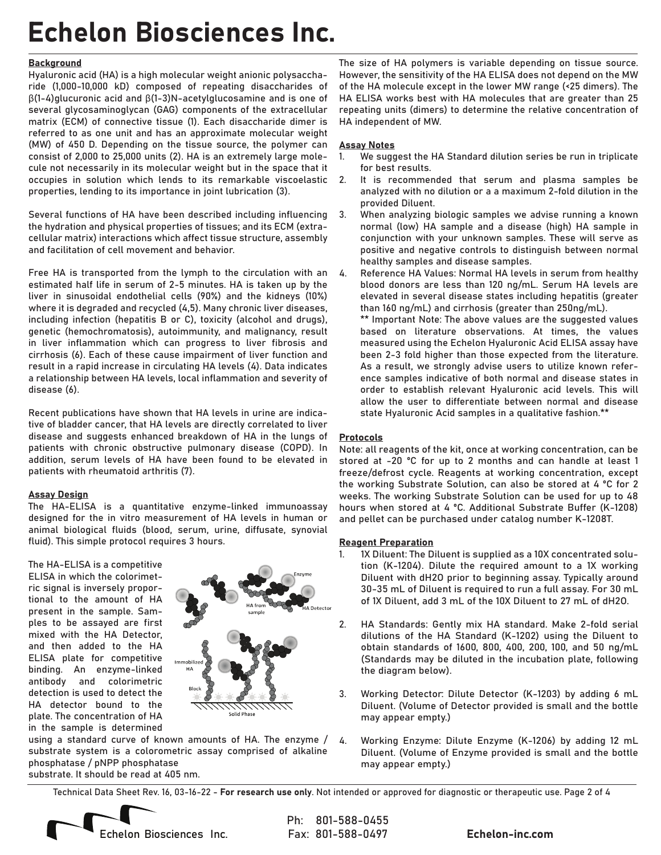#### **Background**

Hyaluronic acid (HA) is a high molecular weight anionic polysaccharide (1,000-10,000 kD) composed of repeating disaccharides of β(1-4)glucuronic acid and β(1-3)N-acetylglucosamine and is one of several glycosaminoglycan (GAG) components of the extracellular matrix (ECM) of connective tissue (1). Each disaccharide dimer is referred to as one unit and has an approximate molecular weight (MW) of 450 D. Depending on the tissue source, the polymer can consist of 2,000 to 25,000 units (2). HA is an extremely large molecule not necessarily in its molecular weight but in the space that it occupies in solution which lends to its remarkable viscoelastic properties, lending to its importance in joint lubrication (3).

Several functions of HA have been described including influencing the hydration and physical properties of tissues; and its ECM (extracellular matrix) interactions which affect tissue structure, assembly and facilitation of cell movement and behavior.

Free HA is transported from the lymph to the circulation with an estimated half life in serum of 2-5 minutes. HA is taken up by the liver in sinusoidal endothelial cells (90%) and the kidneys (10%) where it is degraded and recycled (4,5). Many chronic liver diseases, including infection (hepatitis B or C), toxicity (alcohol and drugs), genetic (hemochromatosis), autoimmunity, and malignancy, result in liver inflammation which can progress to liver fibrosis and cirrhosis (6). Each of these cause impairment of liver function and result in a rapid increase in circulating HA levels (4). Data indicates a relationship between HA levels, local inflammation and severity of disease (6).

Recent publications have shown that HA levels in urine are indicative of bladder cancer, that HA levels are directly correlated to liver disease and suggests enhanced breakdown of HA in the lungs of patients with chronic obstructive pulmonary disease (COPD). In addition, serum levels of HA have been found to be elevated in patients with rheumatoid arthritis (7).

#### Assay Design

The HA-ELISA is a quantitative enzyme-linked immunoassay designed for the in vitro measurement of HA levels in human or animal biological fluids (blood, serum, urine, diffusate, synovial fluid). This simple protocol requires 3 hours.

The HA-ELISA is a competitive ELISA in which the colorimetric signal is inversely proportional to the amount of HA present in the sample. Samples to be assayed are first mixed with the HA Detector, and then added to the HA ELISA plate for competitive binding. An enzyme-linked antibody and colorimetric detection is used to detect the HA detector bound to the plate. The concentration of HA in the sample is determined



using a standard curve of known amounts of HA. The enzyme / 4.substrate system is a colorometric assay comprised of alkaline phosphatase / pNPP phosphatase substrate. It should be read at 405 nm.

The size of HA polymers is variable depending on tissue source. However, the sensitivity of the HA ELISA does not depend on the MW of the HA molecule except in the lower MW range (<25 dimers). The HA ELISA works best with HA molecules that are greater than 25 repeating units (dimers) to determine the relative concentration of HA independent of MW.

#### Assay Notes

- We suggest the HA Standard dilution series be run in triplicate for best results. 1.
- It is recommended that serum and plasma samples be analyzed with no dilution or a a maximum 2-fold dilution in the provided Diluent. 2.
- When analyzing biologic samples we advise running a known normal (low) HA sample and a disease (high) HA sample in conjunction with your unknown samples. These will serve as positive and negative controls to distinguish between normal healthy samples and disease samples. 3.
- Reference HA Values: Normal HA levels in serum from healthy blood donors are less than 120 ng/mL. Serum HA levels are elevated in several disease states including hepatitis (greater than 160 ng/mL) and cirrhosis (greater than 250ng/mL). 4.

\*\* Important Note: The above values are the suggested values based on literature observations. At times, the values measured using the Echelon Hyaluronic Acid ELISA assay have been 2-3 fold higher than those expected from the literature. As a result, we strongly advise users to utilize known reference samples indicative of both normal and disease states in order to establish relevant Hyaluronic acid levels. This will allow the user to differentiate between normal and disease state Hyaluronic Acid samples in a qualitative fashion.\*\*

#### **Protocols**

Note: all reagents of the kit, once at working concentration, can be stored at -20 ºC for up to 2 months and can handle at least 1 freeze/defrost cycle. Reagents at working concentration, except the working Substrate Solution, can also be stored at 4 ºC for 2 weeks. The working Substrate Solution can be used for up to 48 hours when stored at 4 ºC. Additional Substrate Buffer (K-1208) and pellet can be purchased under catalog number K-1208T.

#### Reagent Preparation

- 1X Diluent: The Diluent is supplied as a 10X concentrated solution (K-1204). Dilute the required amount to a 1X working Diluent with dH2O prior to beginning assay. Typically around 30-35 mL of Diluent is required to run a full assay. For 30 mL of 1X Diluent, add 3 mL of the 10X Diluent to 27 mL of dH2O. 1.
- HA Standards: Gently mix HA standard. Make 2-fold serial dilutions of the HA Standard (K-1202) using the Diluent to obtain standards of 1600, 800, 400, 200, 100, and 50 ng/mL (Standards may be diluted in the incubation plate, following the diagram below). 2.
- Working Detector: Dilute Detector (K-1203) by adding 6 mL Diluent. (Volume of Detector provided is small and the bottle may appear empty.) 3.
- Working Enzyme: Dilute Enzyme (K-1206) by adding 12 mL Diluent. (Volume of Enzyme provided is small and the bottle may appear empty.)

Technical Data Sheet Rev. 16, 03-16-22 - For research use only. Not intended or approved for diagnostic or therapeutic use. Page 2 of 4

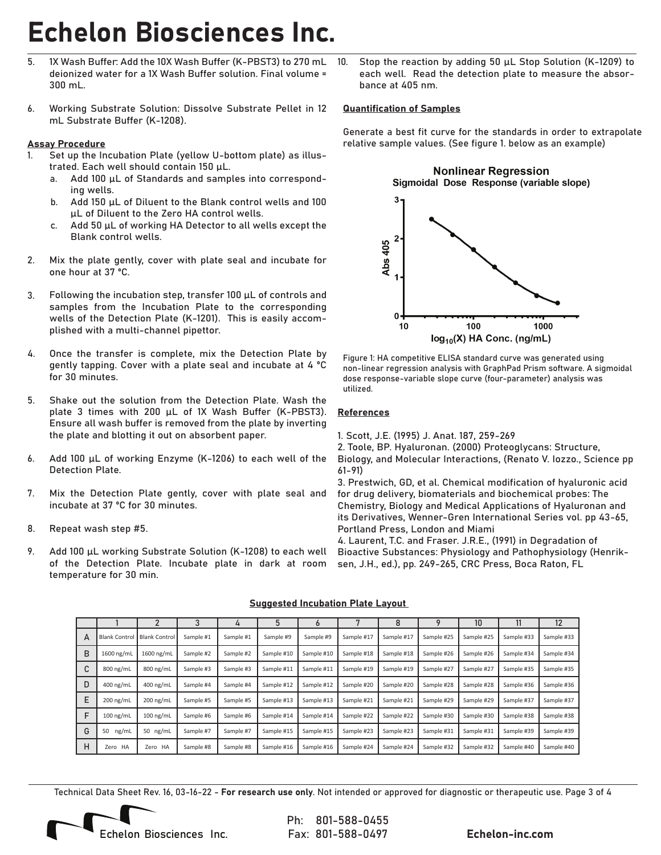- 1X Wash Buffer: Add the 10X Wash Buffer (K-PBST3) to 270 mL deionized water for a 1X Wash Buffer solution. Final volume = 300 mL. 5.
- Working Substrate Solution: Dissolve Substrate Pellet in 12 mL Substrate Buffer (K-1208). 6.

#### Assay Procedure

- Set up the Incubation Plate (yellow U-bottom plate) as illustrated. Each well should contain 150 μL. 1.
	- Add 100 μL of Standards and samples into corresponding wells. a.
	- Add 150 μL of Diluent to the Blank control wells and 100 μL of Diluent to the Zero HA control wells. b.
	- Add 50 µL of working HA Detector to all wells except the Blank control wells. c.
- Mix the plate gently, cover with plate seal and incubate for one hour at 37 ºC. 2.
- Following the incubation step, transfer 100 µL of controls and samples from the Incubation Plate to the corresponding wells of the Detection Plate (K-1201). This is easily accomplished with a multi-channel pipettor. 3.
- Once the transfer is complete, mix the Detection Plate by gently tapping. Cover with a plate seal and incubate at 4 ºC for 30 minutes. 4.
- Shake out the solution from the Detection Plate. Wash the plate 3 times with 200 μL of 1X Wash Buffer (K-PBST3). Ensure all wash buffer is removed from the plate by inverting the plate and blotting it out on absorbent paper. 5.
- Add 100 µL of working Enzyme (K-1206) to each well of the Detection Plate. 6.
- Mix the Detection Plate gently, cover with plate seal and incubate at 37 ºC for 30 minutes. 7.
- Repeat wash step #5. 8.
- Add 100 µL working Substrate Solution (K-1208) to each well of the Detection Plate. Incubate plate in dark at room temperature for 30 min. 9.

Stop the reaction by adding 50  $\mu$ L Stop Solution (K-1209) to each well. Read the detection plate to measure the absorbance at 405 nm. 10.

#### Quantification of Samples

Generate a best fit curve for the standards in order to extrapolate relative sample values. (See figure 1. below as an example)



Figure 1: HA competitive ELISA standard curve was generated using non-linear regression analysis with GraphPad Prism software. A sigmoidal dose response-variable slope curve (four-parameter) analysis was utilized.

#### References

1. Scott, J.E. (1995) J. Anat. 187, 259-269

2. Toole, BP. Hyaluronan. (2000) Proteoglycans: Structure, Biology, and Molecular Interactions, (Renato V. Iozzo., Science pp 61-91)

3. Prestwich, GD, et al. Chemical modification of hyaluronic acid for drug delivery, biomaterials and biochemical probes: The Chemistry, Biology and Medical Applications of Hyaluronan and its Derivatives, Wenner-Gren International Series vol. pp 43-65, Portland Press, London and Miami

4. Laurent, T.C. and Fraser. J.R.E., (1991) in Degradation of Bioactive Substances: Physiology and Pathophysiology (Henriksen, J.H., ed.), pp. 249-265, CRC Press, Boca Raton, FL

|   |                     |                      |           | 4         |            | O          |            | 8          |            | 10         |            | 12         |
|---|---------------------|----------------------|-----------|-----------|------------|------------|------------|------------|------------|------------|------------|------------|
| A | <b>Blank Contro</b> | <b>Blank Control</b> | Sample #1 | Sample #1 | Sample #9  | Sample #9  | Sample #17 | Sample #17 | Sample #25 | Sample #25 | Sample #33 | Sample #33 |
| B | 1600 ng/mL          | 1600 ng/mL           | Sample #2 | Sample #2 | Sample #10 | Sample #10 | Sample #18 | Sample #18 | Sample #26 | Sample #26 | Sample #34 | Sample #34 |
| C | 800 ng/mL           | 800 ng/mL            | Sample #3 | Sample #3 | Sample #11 | Sample #11 | Sample #19 | Sample #19 | Sample #27 | Sample #27 | Sample #35 | Sample #35 |
| D | 400 ng/mL           | 400 ng/mL            | Sample #4 | Sample #4 | Sample #12 | Sample #12 | Sample #20 | Sample #20 | Sample #28 | Sample #28 | Sample #36 | Sample #36 |
| E | 200 ng/mL           | 200 ng/mL            | Sample #5 | Sample #5 | Sample #13 | Sample #13 | Sample #21 | Sample #21 | Sample #29 | Sample #29 | Sample #37 | Sample #37 |
| F | $100$ ng/mL         | $100$ ng/mL          | Sample #6 | Sample #6 | Sample #14 | Sample #14 | Sample #22 | Sample #22 | Sample #30 | Sample #30 | Sample #38 | Sample #38 |
| G | ng/mL<br>50         | 50 $ng/mL$           | Sample #7 | Sample #7 | Sample #15 | Sample #15 | Sample #23 | Sample #23 | Sample #31 | Sample #31 | Sample #39 | Sample #39 |
| н | Zero HA             | Zero HA              | Sample #8 | Sample #8 | Sample #16 | Sample #16 | Sample #24 | Sample #24 | Sample #32 | Sample #32 | Sample #40 | Sample #40 |

#### Suggested Incubation Plate Layout

Technical Data Sheet Rev. 16, 03-16-22 - For research use only. Not intended or approved for diagnostic or therapeutic use. Page 3 of 4